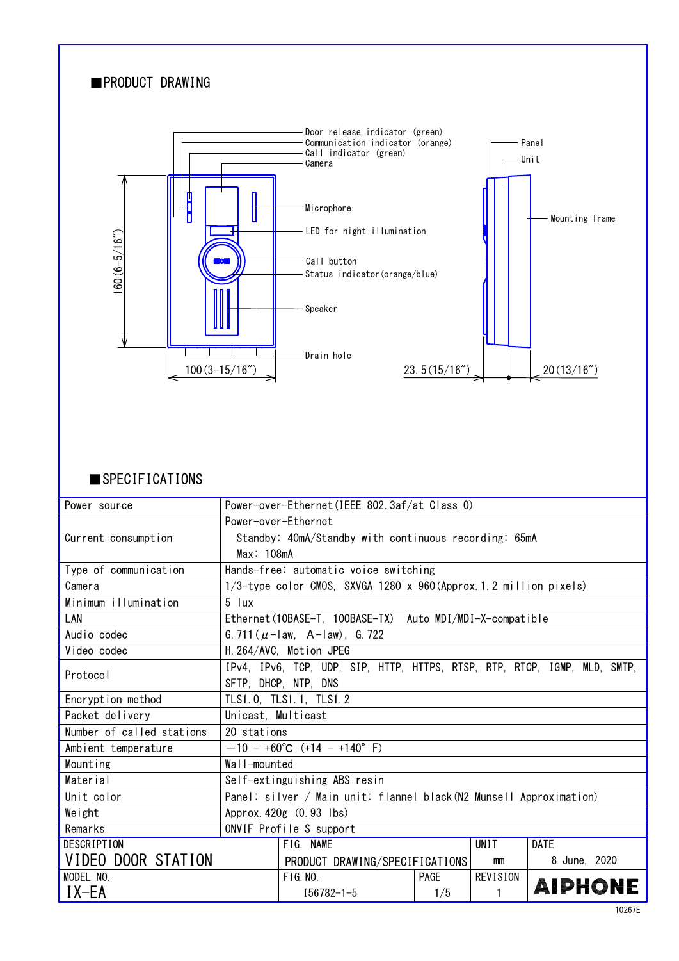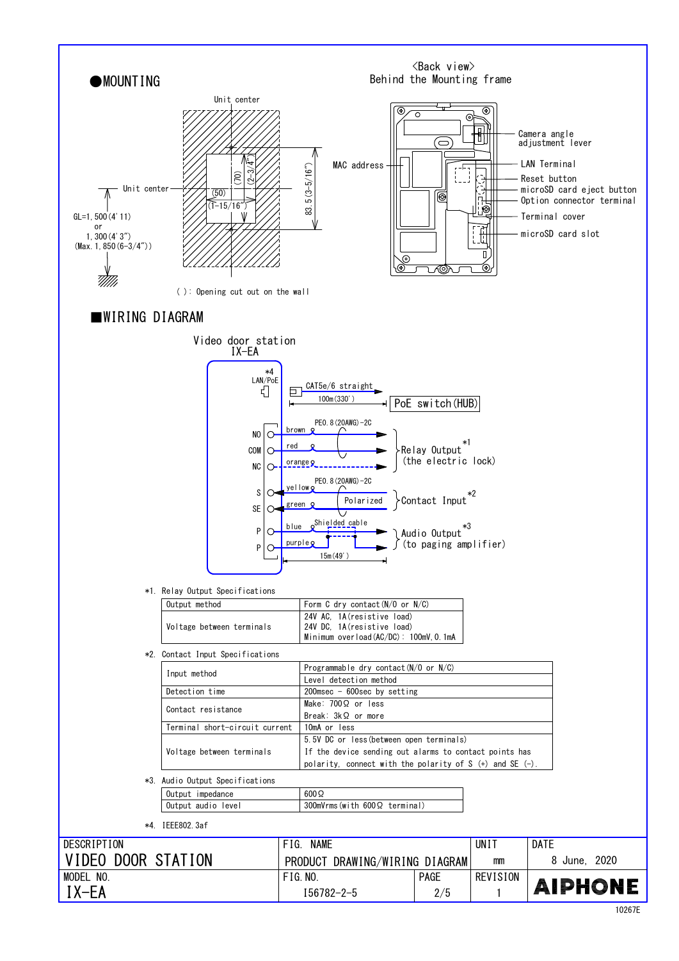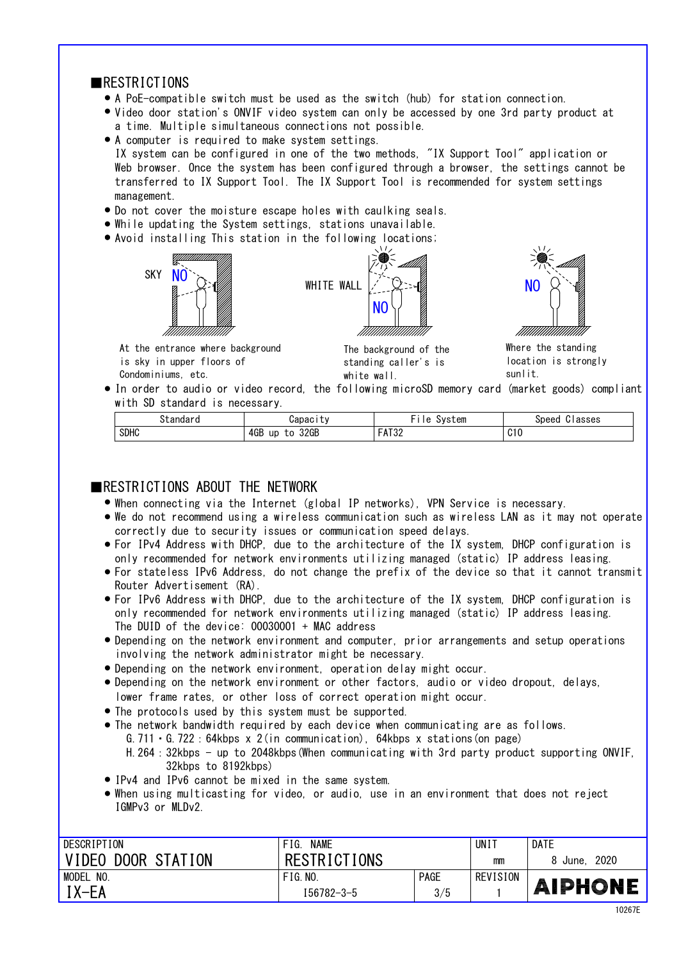## ■RESTRICTIONS

A PoE-compatible switch must be used as the switch (hub) for station connection. ●

 $\cdots$ 

- Video door station's ONVIF video system can only be accessed by one 3rd party product at a time. Multiple simultaneous connections not possible.
- A computer is required to make system settings. transferred to IX Support Tool. The IX Support Tool is recommended for system settings IX system can be configured in one of the two methods, "IX Support Tool" application or Web browser. Once the system has been configured through a browser, the settings cannot be management.
- Do not cover the moisture escape holes with caulking seals. ●
- While updating the System settings, stations unavailable.
- Avoid installing This station in the following locations; ●





The background of the standing caller's is white wall.

NO



Where the standing location is strongly sunlit.

● In order to audio or video record, the following microSD memory card (market goods) compliant with SD standard is necessary.

| '⊤tandarٽ   | <b>Japacity</b>         | System<br>1e                | $\overline{\phantom{a}}$<br>Speed<br>Classes |
|-------------|-------------------------|-----------------------------|----------------------------------------------|
| <b>SDHC</b> | 4GB<br>32GB<br>up<br>to | <b>FAT32</b><br><b>NIV4</b> | C10                                          |

## **EXPENSIBLE THE RETWORK**

- When connecting via the Internet (global IP networks), VPN Service is necessary. ●
- We do not recommend using a wireless communication such as wireless LAN as it may not operate correctly due to security issues or communication speed delays.
- For IPv4 Address with DHCP, due to the architecture of the IX system, DHCP configuration is only recommended for network environments utilizing managed (static) IP address leasing.
- For stateless IPv6 Address, do not change the prefix of the device so that it cannot transmit Router Advertisement (RA).
- only recommended for network environments utilizing managed (static) IP address leasing. For IPv6 Address with DHCP, due to the architecture of the IX system, DHCP configuration is ● The DUID of the device: 00030001 + MAC address
- Depending on the network environment and computer, prior arrangements and setup operations involving the network administrator might be necessary.
- Depending on the network environment, operation delay might occur. ●
- lower frame rates, or other loss of correct operation might occur. • Depending on the network environment or other factors, audio or video dropout, delays,
- The protocols used by this system must be supported. ●
- The network bandwidth required by each device when communicating are as follows. G.711・G.722:64kbps x 2(in communication), 64kbps x stations(on page) H.264:32kbps - up to 2048kbps(When communicating with 3rd party product supporting ONVIF, 32kbps to 8192kbps)
- IPv4 and IPv6 cannot be mixed in the same system.
- IGMPv3 or MLDv2. When using multicasting for video, or audio, use in an environment that does not reject ●

| DESCRIPTION         | <b>NAME</b><br>FIG. |             | UNI 1    | <b>DATE</b>     |
|---------------------|---------------------|-------------|----------|-----------------|
| VIDEO DOOR STATION  | <b>RESTRICTIONS</b> |             | mm       | 2020<br>8 June. |
| <b>MODEL</b><br>NO. | FIG. N0.            | <b>PAGE</b> | REVISION |                 |
| $IX-EA$             | 156782-3-5          | 3/5         |          | <b>AIPHONE</b>  |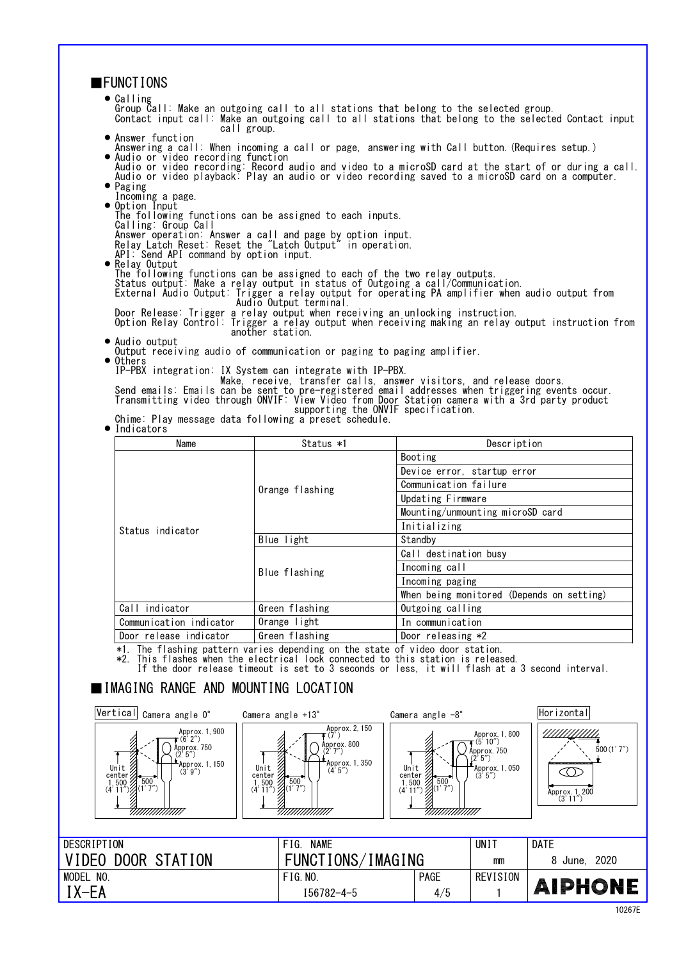| <b>FUNCTIONS</b>                                                                                                                                                                                                                                                                                                                                                                                                                                                                                                                       |                                                                                                                                                                                                                                                                                                           |                                                                                                                    |                                                                                           |                                                                   |  |  |
|----------------------------------------------------------------------------------------------------------------------------------------------------------------------------------------------------------------------------------------------------------------------------------------------------------------------------------------------------------------------------------------------------------------------------------------------------------------------------------------------------------------------------------------|-----------------------------------------------------------------------------------------------------------------------------------------------------------------------------------------------------------------------------------------------------------------------------------------------------------|--------------------------------------------------------------------------------------------------------------------|-------------------------------------------------------------------------------------------|-------------------------------------------------------------------|--|--|
| $\bullet$ Calling<br>Group Call: Make an outgoing call to all stations that belong to the selected group.<br>Contact input call: Make an outgoing call to all stations that belong to the selected Contact input<br>call group.                                                                                                                                                                                                                                                                                                        |                                                                                                                                                                                                                                                                                                           |                                                                                                                    |                                                                                           |                                                                   |  |  |
| • Answer function<br>· Audio or video recording function<br>$\bullet$ Paging                                                                                                                                                                                                                                                                                                                                                                                                                                                           | Answering a call: When incoming a call or page, answering with Call button. (Requires setup.)<br>Audio or video recording: Record audio and video to a microSD card at the start of or during a call.<br>Audio or video playback: Play an audio or video recording saved to a microSD card on a computer. |                                                                                                                    |                                                                                           |                                                                   |  |  |
| Incoming a page.<br>• Option Input<br>The following functions can be assigned to each inputs.<br>Calling: Group Call<br>Answer operation: Answer a call and page by option input.<br>Relay Latch Reset: Reset the "Latch Output" in operation.                                                                                                                                                                                                                                                                                         |                                                                                                                                                                                                                                                                                                           |                                                                                                                    |                                                                                           |                                                                   |  |  |
| API: Send API command by option input.<br>• Relay Output<br>The following functions can be assigned to each of the two relay outputs.<br>Status output: Make a relay output in status of Outgoing a call/Communication.<br>External Audio Output: Trigger a relay output for operating PA amplifier when audio output from<br>Door Release: Trigger a relay output when receiving an unlocking instruction.<br>Option Relay Control: Trigger a relay output when receiving making an relay output instruction from<br>another station. | Audio Output terminal.                                                                                                                                                                                                                                                                                    |                                                                                                                    |                                                                                           |                                                                   |  |  |
| • Audio output<br>Output receiving audio of communication or paging to paging amplifier.<br>• Others<br>IP-PBX integration: IX System can integrate with IP-PBX.<br>Send emails: Emails can be sent to pre-registered emails, answer visitors, and release doors.<br>Transmitting video through ONVIF: View Video from Door Station camera with a 3rd party product<br>Chime: Play message data following a preset schedule.<br>• Indicators                                                                                           | supporting the ONVIF specification.                                                                                                                                                                                                                                                                       |                                                                                                                    |                                                                                           |                                                                   |  |  |
| Name                                                                                                                                                                                                                                                                                                                                                                                                                                                                                                                                   | Status *1                                                                                                                                                                                                                                                                                                 |                                                                                                                    | Description                                                                               |                                                                   |  |  |
|                                                                                                                                                                                                                                                                                                                                                                                                                                                                                                                                        |                                                                                                                                                                                                                                                                                                           | Booting                                                                                                            |                                                                                           |                                                                   |  |  |
|                                                                                                                                                                                                                                                                                                                                                                                                                                                                                                                                        |                                                                                                                                                                                                                                                                                                           | Device error, startup error                                                                                        |                                                                                           |                                                                   |  |  |
|                                                                                                                                                                                                                                                                                                                                                                                                                                                                                                                                        |                                                                                                                                                                                                                                                                                                           | Communication failure                                                                                              |                                                                                           |                                                                   |  |  |
|                                                                                                                                                                                                                                                                                                                                                                                                                                                                                                                                        | Orange flashing                                                                                                                                                                                                                                                                                           | Updating Firmware                                                                                                  |                                                                                           |                                                                   |  |  |
|                                                                                                                                                                                                                                                                                                                                                                                                                                                                                                                                        |                                                                                                                                                                                                                                                                                                           | Mounting/unmounting microSD card                                                                                   |                                                                                           |                                                                   |  |  |
|                                                                                                                                                                                                                                                                                                                                                                                                                                                                                                                                        |                                                                                                                                                                                                                                                                                                           | Initializing                                                                                                       |                                                                                           |                                                                   |  |  |
| Status indicator                                                                                                                                                                                                                                                                                                                                                                                                                                                                                                                       | Blue light                                                                                                                                                                                                                                                                                                | Standby                                                                                                            |                                                                                           |                                                                   |  |  |
|                                                                                                                                                                                                                                                                                                                                                                                                                                                                                                                                        |                                                                                                                                                                                                                                                                                                           | Call destination busy                                                                                              |                                                                                           |                                                                   |  |  |
|                                                                                                                                                                                                                                                                                                                                                                                                                                                                                                                                        |                                                                                                                                                                                                                                                                                                           | Incoming call                                                                                                      |                                                                                           |                                                                   |  |  |
|                                                                                                                                                                                                                                                                                                                                                                                                                                                                                                                                        | Blue flashing                                                                                                                                                                                                                                                                                             | Incoming paging                                                                                                    |                                                                                           |                                                                   |  |  |
|                                                                                                                                                                                                                                                                                                                                                                                                                                                                                                                                        |                                                                                                                                                                                                                                                                                                           | When being monitored (Depends on setting)                                                                          |                                                                                           |                                                                   |  |  |
| Call indicator                                                                                                                                                                                                                                                                                                                                                                                                                                                                                                                         | Green flashing                                                                                                                                                                                                                                                                                            | Outgoing calling                                                                                                   |                                                                                           |                                                                   |  |  |
| Communication indicator                                                                                                                                                                                                                                                                                                                                                                                                                                                                                                                | Orange light                                                                                                                                                                                                                                                                                              | In communication                                                                                                   |                                                                                           |                                                                   |  |  |
| Door release indicator                                                                                                                                                                                                                                                                                                                                                                                                                                                                                                                 | Green flashing                                                                                                                                                                                                                                                                                            | Door releasing *2                                                                                                  |                                                                                           |                                                                   |  |  |
| *1. The flashing pattern varies depending on the state of video door station.                                                                                                                                                                                                                                                                                                                                                                                                                                                          |                                                                                                                                                                                                                                                                                                           |                                                                                                                    |                                                                                           |                                                                   |  |  |
| *2. This flashes when the electrical lock connected to this station is released.<br>If the door release timeout is set to 3 seconds or less, it will flash at a 3 second interval.                                                                                                                                                                                                                                                                                                                                                     |                                                                                                                                                                                                                                                                                                           |                                                                                                                    |                                                                                           |                                                                   |  |  |
| IIMAGING RANGE AND MOUNTING LOCATION                                                                                                                                                                                                                                                                                                                                                                                                                                                                                                   |                                                                                                                                                                                                                                                                                                           |                                                                                                                    |                                                                                           |                                                                   |  |  |
| Vertical Camera angle O°                                                                                                                                                                                                                                                                                                                                                                                                                                                                                                               | Camera angle $+13^\circ$<br>Approx. 2, 150                                                                                                                                                                                                                                                                | Camera angle $-8^{\circ}$                                                                                          |                                                                                           | Horizontal                                                        |  |  |
| Approx. 1, 900<br>(6' 2'')<br>Approx. 750<br>(2' 5")<br>Approx. 1, 150<br>Unit %<br>Unit<br>(3'9'')<br>center 2<br>center<br>500<br>$\begin{array}{c} 1,500 \\ (4' 11'') \end{array}$ (1' 7")<br>711111111111111                                                                                                                                                                                                                                                                                                                       | F (7' )<br>Approx. 800<br>(2'7'')<br>Approx. 1, 350<br>(4'5'')<br>500<br>$1,500$ 500<br>(4' 11") (1' 7")<br>7777777777777777                                                                                                                                                                              | Unit<br>center $\%$<br>500<br>$\begin{array}{c} 1,500 \\ (4' 11'') \end{array}$ 500<br>(4' 11")<br>777777777777777 | Approx. 1, 800<br>$\tau$ (5' 10″)<br>Approx. 750<br>(2' 5'')<br>Approx. 1, 050<br>(3'5'') | !!!!!! <u>!!!!!!!</u><br>500(1'7'')<br>Approx. 1, 200<br>(3' 11") |  |  |
|                                                                                                                                                                                                                                                                                                                                                                                                                                                                                                                                        |                                                                                                                                                                                                                                                                                                           |                                                                                                                    |                                                                                           |                                                                   |  |  |
| DESCRIPTION                                                                                                                                                                                                                                                                                                                                                                                                                                                                                                                            | FIG. NAME                                                                                                                                                                                                                                                                                                 |                                                                                                                    | UNIT                                                                                      | <b>DATE</b>                                                       |  |  |
| VIDEO DOOR STATION                                                                                                                                                                                                                                                                                                                                                                                                                                                                                                                     | FUNCTIONS/IMAGING                                                                                                                                                                                                                                                                                         |                                                                                                                    | mm                                                                                        | 8 June, 2020                                                      |  |  |
| MODEL NO.                                                                                                                                                                                                                                                                                                                                                                                                                                                                                                                              | FIG. NO.                                                                                                                                                                                                                                                                                                  | PAGE                                                                                                               | <b>REVISION</b>                                                                           |                                                                   |  |  |
| IX-EA                                                                                                                                                                                                                                                                                                                                                                                                                                                                                                                                  | $I56782 - 4 - 5$                                                                                                                                                                                                                                                                                          | 4/5                                                                                                                | 1                                                                                         | AIPHONE                                                           |  |  |